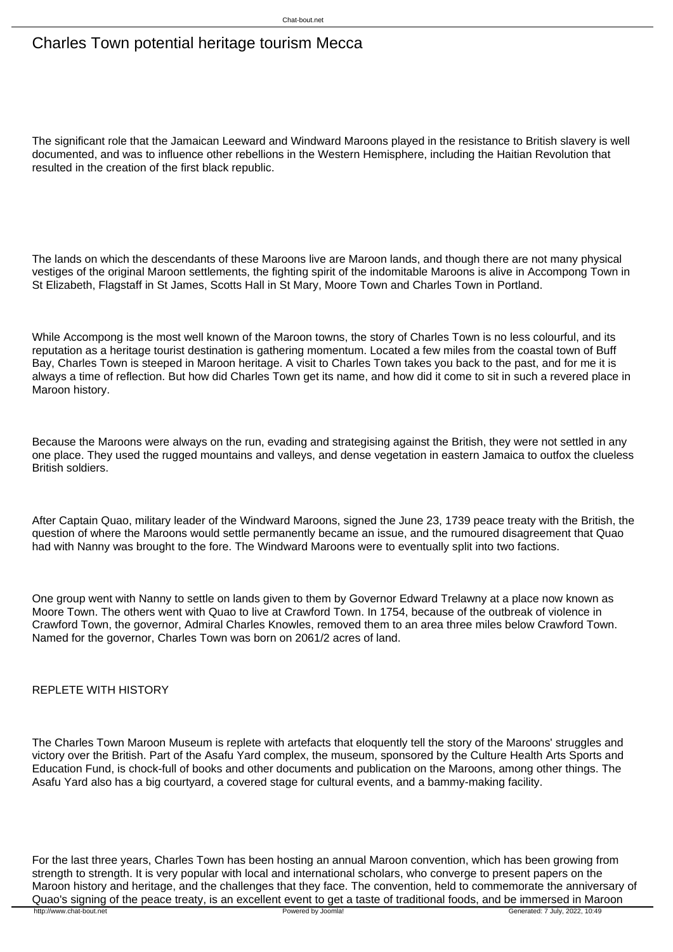## Charles Town potential heritage tourism Mecca

The significant role that the Jamaican Leeward and Windward Maroons played in the resistance to British slavery is well documented, and was to influence other rebellions in the Western Hemisphere, including the Haitian Revolution that resulted in the creation of the first black republic.

The lands on which the descendants of these Maroons live are Maroon lands, and though there are not many physical vestiges of the original Maroon settlements, the fighting spirit of the indomitable Maroons is alive in Accompong Town in St Elizabeth, Flagstaff in St James, Scotts Hall in St Mary, Moore Town and Charles Town in Portland.

While Accompong is the most well known of the Maroon towns, the story of Charles Town is no less colourful, and its reputation as a heritage tourist destination is gathering momentum. Located a few miles from the coastal town of Buff Bay, Charles Town is steeped in Maroon heritage. A visit to Charles Town takes you back to the past, and for me it is always a time of reflection. But how did Charles Town get its name, and how did it come to sit in such a revered place in Maroon history.

Because the Maroons were always on the run, evading and strategising against the British, they were not settled in any one place. They used the rugged mountains and valleys, and dense vegetation in eastern Jamaica to outfox the clueless British soldiers.

After Captain Quao, military leader of the Windward Maroons, signed the June 23, 1739 peace treaty with the British, the question of where the Maroons would settle permanently became an issue, and the rumoured disagreement that Quao had with Nanny was brought to the fore. The Windward Maroons were to eventually split into two factions.

One group went with Nanny to settle on lands given to them by Governor Edward Trelawny at a place now known as Moore Town. The others went with Quao to live at Crawford Town. In 1754, because of the outbreak of violence in Crawford Town, the governor, Admiral Charles Knowles, removed them to an area three miles below Crawford Town. Named for the governor, Charles Town was born on 2061/2 acres of land.

## REPLETE WITH HISTORY

The Charles Town Maroon Museum is replete with artefacts that eloquently tell the story of the Maroons' struggles and victory over the British. Part of the Asafu Yard complex, the museum, sponsored by the Culture Health Arts Sports and Education Fund, is chock-full of books and other documents and publication on the Maroons, among other things. The Asafu Yard also has a big courtyard, a covered stage for cultural events, and a bammy-making facility.

For the last three years, Charles Town has been hosting an annual Maroon convention, which has been growing from strength to strength. It is very popular with local and international scholars, who converge to present papers on the Maroon history and heritage, and the challenges that they face. The convention, held to commemorate the anniversary of Quao's signing of the peace treaty, is an excellent event to get a taste of traditional foods, and be immersed in Maroon<br>http://www.chat-bout.net<br>
Generated: 7 July, 2022, 10:49